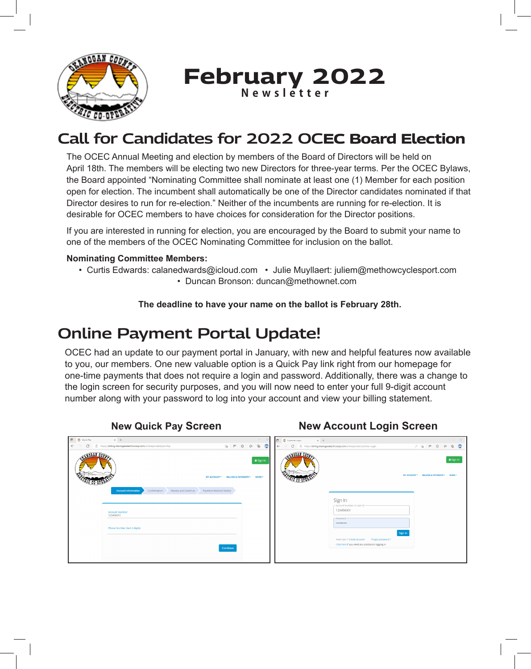

**February 2022 Newsletter**

# **Call for Candidates for 2022 OCEC Board Election**

The OCEC Annual Meeting and election by members of the Board of Directors will be held on April 18th. The members will be electing two new Directors for three-year terms. Per the OCEC Bylaws, the Board appointed "Nominating Committee shall nominate at least one (1) Member for each position open for election. The incumbent shall automatically be one of the Director candidates nominated if that Director desires to run for re-election." Neither of the incumbents are running for re-election. It is desirable for OCEC members to have choices for consideration for the Director positions.

If you are interested in running for election, you are encouraged by the Board to submit your name to one of the members of the OCEC Nominating Committee for inclusion on the ballot.

#### **Nominating Committee Members:**

 • Curtis Edwards: calanedwards@icloud.com • Julie Muyllaert: juliem@methowcyclesport.com • Duncan Bronson: duncan@methownet.com

**The deadline to have your name on the ballot is February 28th.**

# **Online Payment Portal Update!**

OCEC had an update to our payment portal in January, with new and helpful features now available to you, our members. One new valuable option is a Quick Pay link right from our homepage for one-time payments that does not require a login and password. Additionally, there was a change to the login screen for security purposes, and you will now need to enter your full 9-digit account number along with your password to log into your account and view your billing statement.

**New Quick Pay Screen New Account Login Screen**

| D C Quick Pay<br>$\times$ +                                                                           |                                                                                                                                                                                                                                                                                                                                                                                                   | $\times$ +<br><b>D D</b> Customer Login                                                                     | $\qquad \qquad - \qquad \Box$                          |
|-------------------------------------------------------------------------------------------------------|---------------------------------------------------------------------------------------------------------------------------------------------------------------------------------------------------------------------------------------------------------------------------------------------------------------------------------------------------------------------------------------------------|-------------------------------------------------------------------------------------------------------------|--------------------------------------------------------|
| $\bigcirc$ $\bigcirc$ https://billing.okanoganelectriccoop.com/onlineportal/Quick-Pay<br>$\leftarrow$ | $\begin{picture}(20,20) \put(0,0){\line(1,0){10}} \put(15,0){\line(1,0){10}} \put(15,0){\line(1,0){10}} \put(15,0){\line(1,0){10}} \put(15,0){\line(1,0){10}} \put(15,0){\line(1,0){10}} \put(15,0){\line(1,0){10}} \put(15,0){\line(1,0){10}} \put(15,0){\line(1,0){10}} \put(15,0){\line(1,0){10}} \put(15,0){\line(1,0){10}} \put(15,0){\line(1$<br>$-$ G $+$<br>$\frac{1}{10}$ $\blacksquare$ | C https://billing.okanoganelectriccoop.com/onlineportal/Customer-Login<br>$\leftarrow$                      | $\circledcirc$<br>$\rho$ $\hat{u}$ $\in$ $G$ $\hat{u}$ |
| 100 A.N                                                                                               | A Sign In<br>MY ACCOUNT * BILLING & PAYMENTS * MORE *                                                                                                                                                                                                                                                                                                                                             | WOOAN COM<br>MY ACCOUNT *                                                                                   | A Sign In<br><b>BILLING &amp; PAYMENTS *</b><br>MORE-  |
| Review and Continue<br>Payment Redirect Notice<br><b>Account Information</b><br>Confirmation          |                                                                                                                                                                                                                                                                                                                                                                                                   | Sign In                                                                                                     |                                                        |
| <b>Account Number</b><br>123456001                                                                    |                                                                                                                                                                                                                                                                                                                                                                                                   | - Account Number or User ID<br>123456001                                                                    |                                                        |
| Phone Number (last 4 digits)                                                                          |                                                                                                                                                                                                                                                                                                                                                                                                   | - Password-<br>                                                                                             |                                                        |
|                                                                                                       |                                                                                                                                                                                                                                                                                                                                                                                                   | Sign In<br>New User ? Create account Forgot password ?<br>Click here if you need any assistance logging in. |                                                        |
|                                                                                                       | Continue                                                                                                                                                                                                                                                                                                                                                                                          |                                                                                                             |                                                        |